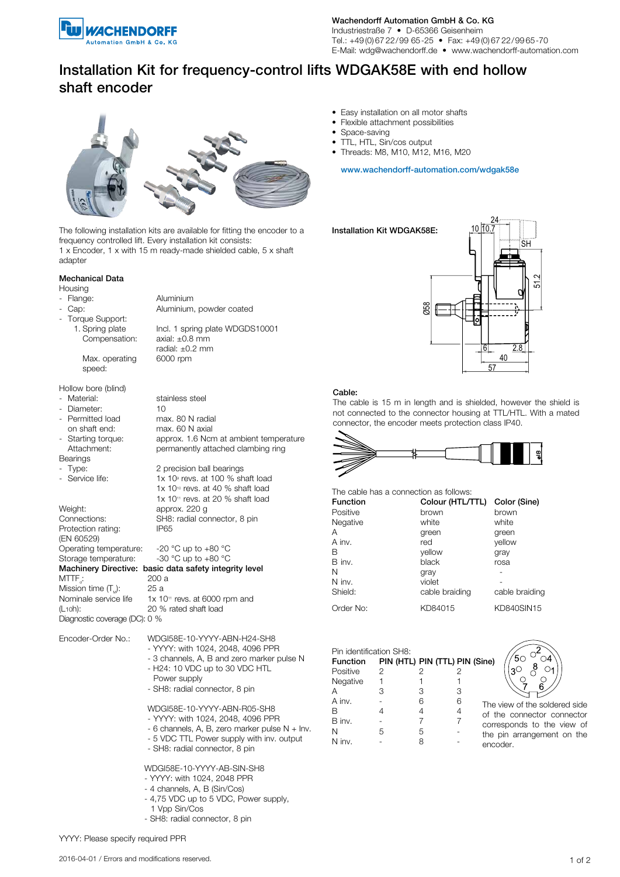

Wachendorff Automation GmbH & Co. KG Industriestraße 7 • D-65366 Geisenheim

Tel.: +49 (0) 67 22/99 65-25 • Fax: +49 (0) 67 22/99 65-70 E-Mail: wdg@wachendorff.de • www.wachendorff-automation.com

# Installation Kit for frequency-control lifts WDGAK58E with end hollow shaft encoder



The following installation kits are available for fitting the encoder to a frequency controlled lift. Every installation kit consists: 1 x Encoder, 1 x with 15 m ready-made shielded cable, 5 x shaft adapter

#### Mechanical Data

- **Housing**
- Flange: Aluminium
- 
- Torque Support:
	- Compensation: axial: ±0.8 mm

Max. operating 6000 rpm

 speed: Hollow bore (blind)<br>- Material:

- Permitted load

- 
- Bearings

- Service life:

Protection rating: IP65 (EN 60529) Operating temperature:  $-20^{\circ}$ C up to  $+80^{\circ}$ C<br>Storage temperature:  $-30^{\circ}$ C up to  $+80^{\circ}$ C Storage temperature:  $MTTF_a: 200 a$ <br>Mission time  $(T): 25 a$ Mission time  $(T<sub>M</sub>)$ :<br>Nominale service life Diagnostic coverage (DC): 0 %

- Cap: Aluminium, powder coated 1. Spring plate Incl. 1 spring plate WDGDS10001 radial: ±0.2 mm

- Material: stainless steel - Diameter: 10<br>- Permitted load max. 80 N radial on shaft end: max. 60 N axial - Starting torque: approx. 1.6 Ncm at ambient temperature Attachment: permanently attached clambing ring - Type: 2 precision ball bearings  $1x 10$ <sup>o</sup> revs. at 100 % shaft load 1x 10<sup>10</sup> revs. at 40 % shaft load  $1x 10$ <sup>11</sup> revs. at 20 % shaft load Weight: approx. 220 g<br>Connections: SH8: radial co SH8: radial connector, 8 pin Machinery Directive: basic data safety integrity level

Nominale service life  $1 \times 10^{11}$  revs. at 6000 rpm and (L<sub>10</sub>h):  $20\%$  rated shaft load 20 % rated shaft load

- Encoder-Order No.: WDGI58E-10-YYYY-ABN-H24-SH8 - YYYY: with 1024, 2048, 4096 PPR
	- 3 channels, A, B and zero marker pulse N
	- H24: 10 VDC up to 30 VDC HTL
	- Power supply
	- SH8: radial connector, 8 pin

WDGI58E-10-YYYY-ABN-R05-SH8

- YYYY: with 1024, 2048, 4096 PPR
- 6 channels, A, B, zero marker pulse N + Inv.
- 5 VDC TTL Power supply with inv. output
- SH8: radial connector, 8 pin

WDGI58E-10-YYYY-AB-SIN-SH8

- YYYY: with 1024, 2048 PPR
- 4 channels, A, B (Sin/Cos)
- 4,75 VDC up to 5 VDC, Power supply,
- 1 Vpp Sin/Cos
- SH8: radial connector, 8 pin
- Easy installation on all motor shafts
- Flexible attachment possibilities
- Space-saving
- TTL, HTL, Sin/cos output
- Threads: M8, M10, M12, M16, M20

www.wachendorff-automation.com/wdgak58e

Installation Kit WDGAK58E:



### Cable:

The cable is 15 m in length and is shielded, however the shield is not connected to the connector housing at TTL/HTL. With a mated connector, the encoder meets protection class IP40.



#### The cable has a connection as follows: Function Colour (HTL/TTL) Color (Sine)

| .         | 00.000 (11.1 = 1 . 1 = 1 00.00 (0.1.10) |                |
|-----------|-----------------------------------------|----------------|
| Positive  | brown                                   | brown          |
| Negative  | white                                   | white          |
| Α         | green                                   | green          |
| A inv.    | red                                     | vellow         |
| в         | vellow                                  | gray           |
| B inv.    | black                                   | rosa           |
| N         | gray                                    |                |
| N inv.    | violet                                  |                |
| Shield:   | cable braiding                          | cable braiding |
| Order No: | KD84015                                 | KD840SIN15     |
|           |                                         |                |

| Pin identification SH8: |   |   |  |                                |  |
|-------------------------|---|---|--|--------------------------------|--|
| Function                |   |   |  | PIN (HTL) PIN (TTL) PIN (Sine) |  |
| Positive                | 2 | 2 |  | 2                              |  |
| Negative                |   |   |  |                                |  |
| Α                       | З | З |  | 3                              |  |
| A inv.                  |   | 6 |  | 6<br>The                       |  |
| В                       |   | 4 |  | 4<br>Ωf                        |  |
| B inv.                  |   |   |  | cor                            |  |
| N                       | 5 | 5 |  | the                            |  |
| N inv.                  |   | 8 |  | enc                            |  |



e view of the soldered side the connector connector rresponds to the view of e pin arrangement on the encoder.